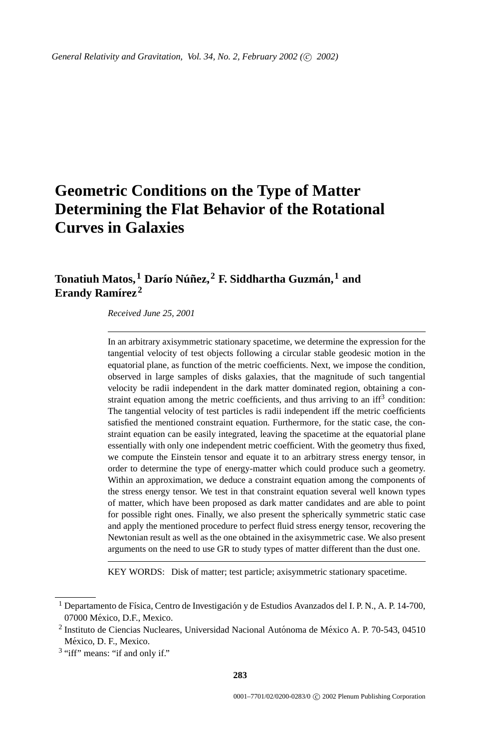# **Geometric Conditions on the Type of Matter Determining the Flat Behavior of the Rotational Curves in Galaxies**

# **Tonatiuh Matos,<sup>1</sup> Dar´ıo Nu´nez, ˜ <sup>2</sup> F. Siddhartha Guzman, ´ <sup>1</sup> and Erandy Ramírez**<sup>2</sup>

*Received June 25, 2001*

In an arbitrary axisymmetric stationary spacetime, we determine the expression for the tangential velocity of test objects following a circular stable geodesic motion in the equatorial plane, as function of the metric coefficients. Next, we impose the condition, observed in large samples of disks galaxies, that the magnitude of such tangential velocity be radii independent in the dark matter dominated region, obtaining a constraint equation among the metric coefficients, and thus arriving to an iff<sup>3</sup> condition: The tangential velocity of test particles is radii independent iff the metric coefficients satisfied the mentioned constraint equation. Furthermore, for the static case, the constraint equation can be easily integrated, leaving the spacetime at the equatorial plane essentially with only one independent metric coefficient. With the geometry thus fixed, we compute the Einstein tensor and equate it to an arbitrary stress energy tensor, in order to determine the type of energy-matter which could produce such a geometry. Within an approximation, we deduce a constraint equation among the components of the stress energy tensor. We test in that constraint equation several well known types of matter, which have been proposed as dark matter candidates and are able to point for possible right ones. Finally, we also present the spherically symmetric static case and apply the mentioned procedure to perfect fluid stress energy tensor, recovering the Newtonian result as well as the one obtained in the axisymmetric case. We also present arguments on the need to use GR to study types of matter different than the dust one.

KEY WORDS: Disk of matter; test particle; axisymmetric stationary spacetime.

 $1$  Departamento de Física, Centro de Investigación y de Estudios Avanzados del I. P. N., A. P. 14-700, 07000 México, D.F., Mexico.

 $2$  Instituto de Ciencias Nucleares, Universidad Nacional Autónoma de México A. P. 70-543, 04510 México, D. F., Mexico.

<sup>&</sup>lt;sup>3</sup> "iff" means: "if and only if."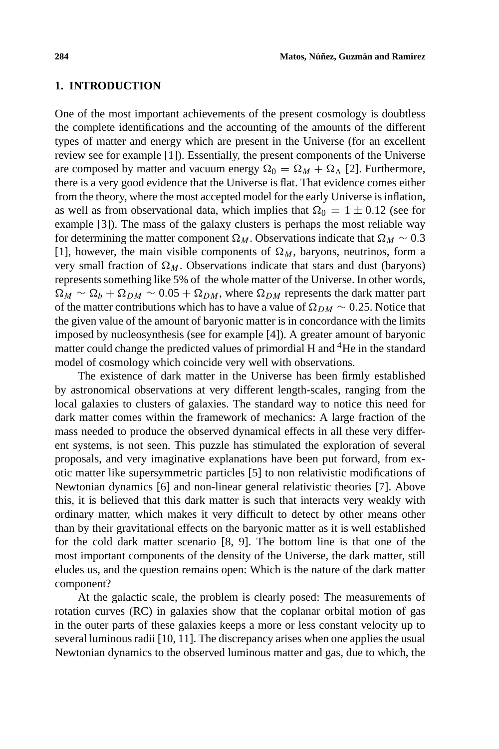#### **1. INTRODUCTION**

One of the most important achievements of the present cosmology is doubtless the complete identifications and the accounting of the amounts of the different types of matter and energy which are present in the Universe (for an excellent review see for example [1]). Essentially, the present components of the Universe are composed by matter and vacuum energy  $\Omega_0 = \Omega_M + \Omega_{\Lambda}$  [2]. Furthermore, there is a very good evidence that the Universe is flat. That evidence comes either from the theory, where the most accepted model for the early Universe is inflation, as well as from observational data, which implies that  $\Omega_0 = 1 \pm 0.12$  (see for example [3]). The mass of the galaxy clusters is perhaps the most reliable way for determining the matter component  $\Omega_M$ . Observations indicate that  $\Omega_M \sim 0.3$ [1], however, the main visible components of  $\Omega_M$ , baryons, neutrinos, form a very small fraction of  $\Omega_M$ . Observations indicate that stars and dust (baryons) represents something like 5% of the whole matter of the Universe. In other words,  $\Omega_M \sim \Omega_b + \Omega_{DM} \sim 0.05 + \Omega_{DM}$ , where  $\Omega_{DM}$  represents the dark matter part of the matter contributions which has to have a value of  $\Omega_{DM} \sim 0.25$ . Notice that the given value of the amount of baryonic matter is in concordance with the limits imposed by nucleosynthesis (see for example [4]). A greater amount of baryonic matter could change the predicted values of primordial H and <sup>4</sup>He in the standard model of cosmology which coincide very well with observations.

The existence of dark matter in the Universe has been firmly established by astronomical observations at very different length-scales, ranging from the local galaxies to clusters of galaxies. The standard way to notice this need for dark matter comes within the framework of mechanics: A large fraction of the mass needed to produce the observed dynamical effects in all these very different systems, is not seen. This puzzle has stimulated the exploration of several proposals, and very imaginative explanations have been put forward, from exotic matter like supersymmetric particles [5] to non relativistic modifications of Newtonian dynamics [6] and non-linear general relativistic theories [7]. Above this, it is believed that this dark matter is such that interacts very weakly with ordinary matter, which makes it very difficult to detect by other means other than by their gravitational effects on the baryonic matter as it is well established for the cold dark matter scenario [8, 9]. The bottom line is that one of the most important components of the density of the Universe, the dark matter, still eludes us, and the question remains open: Which is the nature of the dark matter component?

At the galactic scale, the problem is clearly posed: The measurements of rotation curves (RC) in galaxies show that the coplanar orbital motion of gas in the outer parts of these galaxies keeps a more or less constant velocity up to several luminous radii [10, 11]. The discrepancy arises when one applies the usual Newtonian dynamics to the observed luminous matter and gas, due to which, the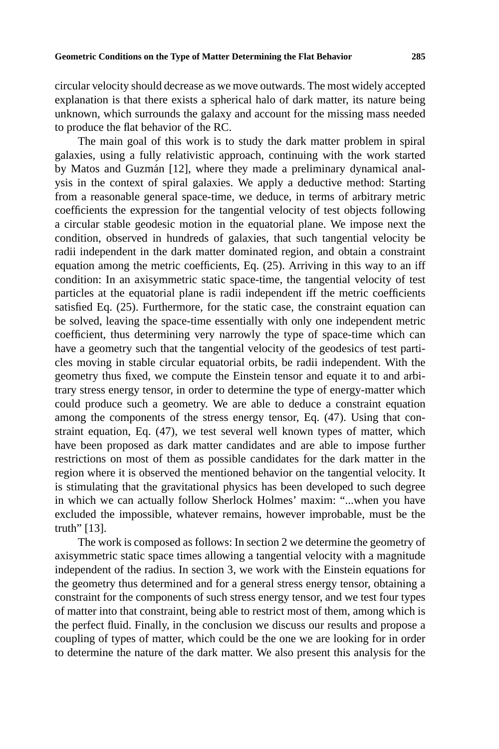circular velocity should decrease as we move outwards. The most widely accepted explanation is that there exists a spherical halo of dark matter, its nature being unknown, which surrounds the galaxy and account for the missing mass needed to produce the flat behavior of the RC.

The main goal of this work is to study the dark matter problem in spiral galaxies, using a fully relativistic approach, continuing with the work started by Matos and Guzmán [12], where they made a preliminary dynamical analysis in the context of spiral galaxies. We apply a deductive method: Starting from a reasonable general space-time, we deduce, in terms of arbitrary metric coefficients the expression for the tangential velocity of test objects following a circular stable geodesic motion in the equatorial plane. We impose next the condition, observed in hundreds of galaxies, that such tangential velocity be radii independent in the dark matter dominated region, and obtain a constraint equation among the metric coefficients, Eq. (25). Arriving in this way to an iff condition: In an axisymmetric static space-time, the tangential velocity of test particles at the equatorial plane is radii independent iff the metric coefficients satisfied Eq. (25). Furthermore, for the static case, the constraint equation can be solved, leaving the space-time essentially with only one independent metric coefficient, thus determining very narrowly the type of space-time which can have a geometry such that the tangential velocity of the geodesics of test particles moving in stable circular equatorial orbits, be radii independent. With the geometry thus fixed, we compute the Einstein tensor and equate it to and arbitrary stress energy tensor, in order to determine the type of energy-matter which could produce such a geometry. We are able to deduce a constraint equation among the components of the stress energy tensor, Eq. (47). Using that constraint equation, Eq. (47), we test several well known types of matter, which have been proposed as dark matter candidates and are able to impose further restrictions on most of them as possible candidates for the dark matter in the region where it is observed the mentioned behavior on the tangential velocity. It is stimulating that the gravitational physics has been developed to such degree in which we can actually follow Sherlock Holmes' maxim: "...when you have excluded the impossible, whatever remains, however improbable, must be the truth" [13].

The work is composed as follows: In section 2 we determine the geometry of axisymmetric static space times allowing a tangential velocity with a magnitude independent of the radius. In section 3, we work with the Einstein equations for the geometry thus determined and for a general stress energy tensor, obtaining a constraint for the components of such stress energy tensor, and we test four types of matter into that constraint, being able to restrict most of them, among which is the perfect fluid. Finally, in the conclusion we discuss our results and propose a coupling of types of matter, which could be the one we are looking for in order to determine the nature of the dark matter. We also present this analysis for the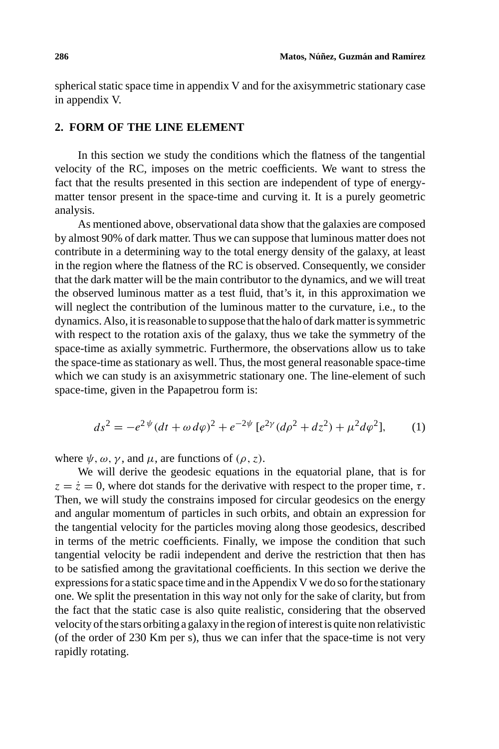spherical static space time in appendix V and for the axisymmetric stationary case in appendix V.

## **2. FORM OF THE LINE ELEMENT**

In this section we study the conditions which the flatness of the tangential velocity of the RC, imposes on the metric coefficients. We want to stress the fact that the results presented in this section are independent of type of energymatter tensor present in the space-time and curving it. It is a purely geometric analysis.

As mentioned above, observational data show that the galaxies are composed by almost 90% of dark matter. Thus we can suppose that luminous matter does not contribute in a determining way to the total energy density of the galaxy, at least in the region where the flatness of the RC is observed. Consequently, we consider that the dark matter will be the main contributor to the dynamics, and we will treat the observed luminous matter as a test fluid, that's it, in this approximation we will neglect the contribution of the luminous matter to the curvature, i.e., to the dynamics. Also, it is reasonable to suppose that the halo of dark matter is symmetric with respect to the rotation axis of the galaxy, thus we take the symmetry of the space-time as axially symmetric. Furthermore, the observations allow us to take the space-time as stationary as well. Thus, the most general reasonable space-time which we can study is an axisymmetric stationary one. The line-element of such space-time, given in the Papapetrou form is:

$$
ds^{2} = -e^{2\psi} (dt + \omega d\varphi)^{2} + e^{-2\psi} [e^{2\gamma} (d\rho^{2} + dz^{2}) + \mu^{2} d\varphi^{2}],
$$
 (1)

where  $\psi$ ,  $\omega$ ,  $\gamma$ , and  $\mu$ , are functions of  $(\rho, z)$ .

We will derive the geodesic equations in the equatorial plane, that is for  $z = \dot{z} = 0$ , where dot stands for the derivative with respect to the proper time,  $\tau$ . Then, we will study the constrains imposed for circular geodesics on the energy and angular momentum of particles in such orbits, and obtain an expression for the tangential velocity for the particles moving along those geodesics, described in terms of the metric coefficients. Finally, we impose the condition that such tangential velocity be radii independent and derive the restriction that then has to be satisfied among the gravitational coefficients. In this section we derive the expressions for a static space time and in the Appendix V we do so for the stationary one. We split the presentation in this way not only for the sake of clarity, but from the fact that the static case is also quite realistic, considering that the observed velocity of the stars orbiting a galaxy in the region of interest is quite non relativistic (of the order of 230 Km per s), thus we can infer that the space-time is not very rapidly rotating.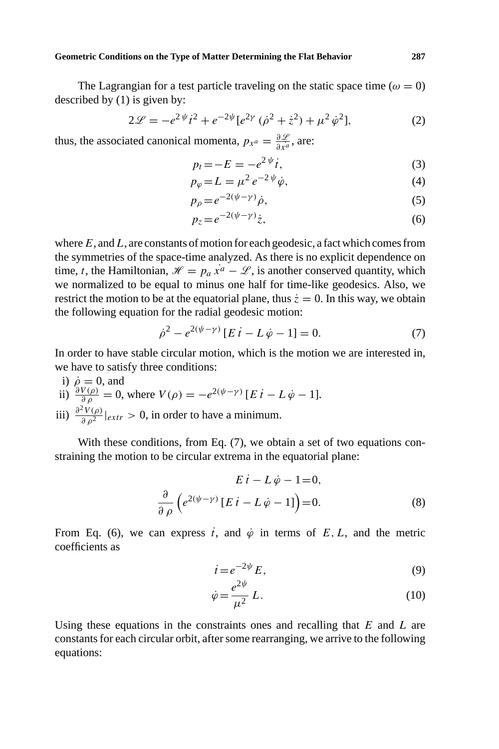**Geometric Conditions on the Type of Matter Determining the Flat Behavior 287**

The Lagrangian for a test particle traveling on the static space time ( $\omega = 0$ ) described by (1) is given by:

$$
2\mathcal{L} = -e^{2\psi}i^2 + e^{-2\psi}[e^{2\gamma}(\dot{\rho}^2 + \dot{z}^2) + \mu^2\dot{\varphi}^2],\tag{2}
$$

thus, the associated canonical momenta,  $p_{x^a} = \frac{\partial \mathcal{L}}{\partial x^a}$ , are:

$$
p_t = -E = -e^{2\psi}i,\tag{3}
$$

$$
p_{\varphi} = L = \mu^2 e^{-2\psi} \dot{\varphi}, \qquad (4)
$$

$$
p_{\rho} = e^{-2(\psi - \gamma)} \dot{\rho},\tag{5}
$$

$$
p_z = e^{-2(\psi - \gamma)} \dot{z},\tag{6}
$$

where  $E$ , and  $L$ , are constants of motion for each geodesic, a fact which comes from the symmetries of the space-time analyzed. As there is no explicit dependence on time, t, the Hamiltonian,  $\mathcal{H} = p_a x^a - \mathcal{L}$ , is another conserved quantity, which we normalized to be equal to minus one half for time-like geodesics. Also, we restrict the motion to be at the equatorial plane, thus  $\dot{z} = 0$ . In this way, we obtain the following equation for the radial geodesic motion:

$$
\dot{\rho}^2 - e^{2(\psi - \gamma)} [E \dot{t} - L \dot{\varphi} - 1] = 0. \tag{7}
$$

In order to have stable circular motion, which is the motion we are interested in, we have to satisfy three conditions:

i)  $\dot{\rho} = 0$ , and ii)  $\frac{\partial V(\rho)}{\partial \rho} = 0$ , where  $V(\rho) = -e^{2(\psi - \gamma)} [E \dot{t} - L \dot{\varphi} - 1].$ iii)  $\frac{\partial^2 V(\rho)}{\partial \rho^2}|_{extr} > 0$ , in order to have a minimum.

With these conditions, from Eq. (7), we obtain a set of two equations constraining the motion to be circular extrema in the equatorial plane:

$$
E i - L \dot{\varphi} - 1 = 0,
$$
  
\n
$$
\frac{\partial}{\partial \rho} \left( e^{2(\psi - \gamma)} \left[ E i - L \dot{\varphi} - 1 \right] \right) = 0.
$$
 (8)

From Eq. (6), we can express  $\dot{t}$ , and  $\dot{\varphi}$  in terms of  $E, L$ , and the metric coefficients as

$$
i = e^{-2\psi} E,\t\t(9)
$$

$$
\dot{\varphi} = \frac{e^{2\psi}}{\mu^2} L. \tag{10}
$$

Using these equations in the constraints ones and recalling that  $E$  and  $L$  are constants for each circular orbit, after some rearranging, we arrive to the following equations: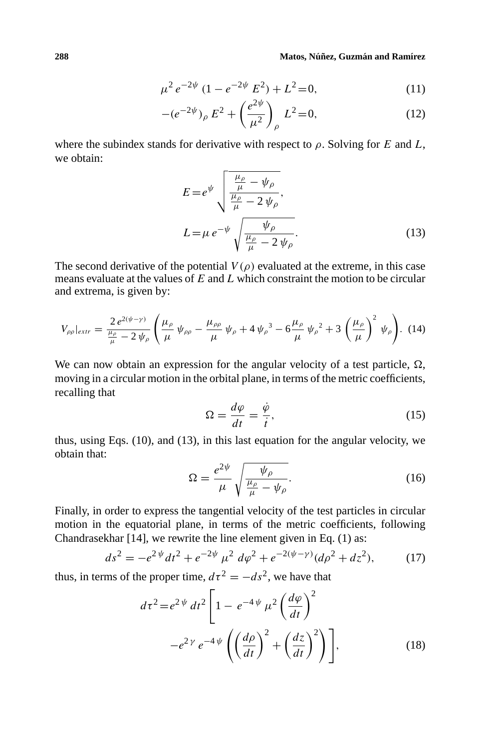$$
\mu^2 e^{-2\psi} (1 - e^{-2\psi} E^2) + L^2 = 0, \tag{11}
$$

$$
-(e^{-2\psi})_{\rho} E^2 + \left(\frac{e^{2\psi}}{\mu^2}\right)_{\rho} L^2 = 0, \tag{12}
$$

where the subindex stands for derivative with respect to  $\rho$ . Solving for E and L, we obtain:

$$
E = e^{\psi} \sqrt{\frac{\frac{\mu_{\rho}}{\mu} - \psi_{\rho}}{\frac{\mu_{\rho}}{\mu} - 2 \psi_{\rho}}},
$$
  

$$
L = \mu e^{-\psi} \sqrt{\frac{\psi_{\rho}}{\frac{\mu_{\rho}}{\mu} - 2 \psi_{\rho}}}.
$$
 (13)

The second derivative of the potential  $V(\rho)$  evaluated at the extreme, in this case means evaluate at the values of  $E$  and  $L$  which constraint the motion to be circular and extrema, is given by:

$$
V_{\rho\rho}|_{extr} = \frac{2 e^{2(\psi - \gamma)}}{\frac{\mu_{\rho}}{\mu} - 2 \psi_{\rho}} \left( \frac{\mu_{\rho}}{\mu} \psi_{\rho\rho} - \frac{\mu_{\rho\rho}}{\mu} \psi_{\rho} + 4 \psi_{\rho}^{3} - 6 \frac{\mu_{\rho}}{\mu} \psi_{\rho}^{2} + 3 \left( \frac{\mu_{\rho}}{\mu} \right)^{2} \psi_{\rho} \right). (14)
$$

We can now obtain an expression for the angular velocity of a test particle,  $\Omega$ , moving in a circular motion in the orbital plane, in terms of the metric coefficients, recalling that

$$
\Omega = \frac{d\varphi}{dt} = \frac{\dot{\varphi}}{\dot{t}},\tag{15}
$$

thus, using Eqs. (10), and (13), in this last equation for the angular velocity, we obtain that:

$$
\Omega = \frac{e^{2\psi}}{\mu} \sqrt{\frac{\psi_{\rho}}{\frac{\mu_{\rho}}{\mu} - \psi_{\rho}}}.
$$
\n(16)

Finally, in order to express the tangential velocity of the test particles in circular motion in the equatorial plane, in terms of the metric coefficients, following Chandrasekhar [14], we rewrite the line element given in Eq. (1) as:

$$
ds^{2} = -e^{2\psi}dt^{2} + e^{-2\psi}\mu^{2} d\varphi^{2} + e^{-2(\psi - \gamma)} (d\rho^{2} + dz^{2}),
$$
 (17)

thus, in terms of the proper time,  $d\tau^2 = -ds^2$ , we have that

$$
d\tau^2 = e^{2\psi} dt^2 \left[ 1 - e^{-4\psi} \mu^2 \left( \frac{d\varphi}{dt} \right)^2 - e^{2\gamma} e^{-4\psi} \left( \left( \frac{d\rho}{dt} \right)^2 + \left( \frac{dz}{dt} \right)^2 \right) \right],
$$
 (18)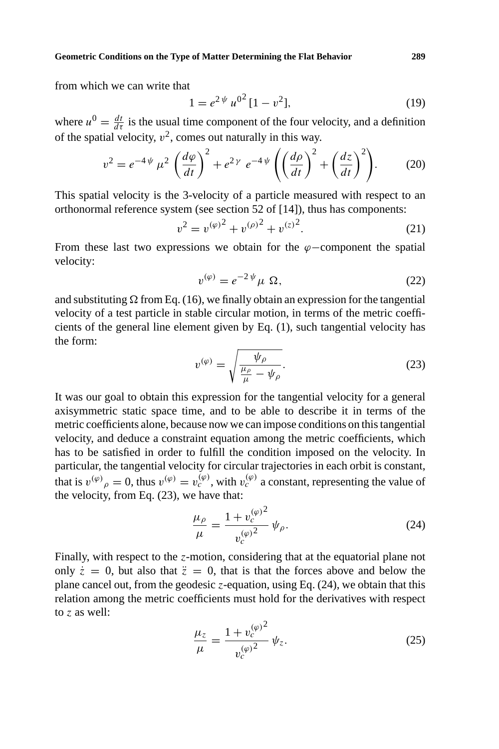from which we can write that

$$
1 = e^{2\psi} u^{0^2} [1 - v^2], \tag{19}
$$

where  $u^0 = \frac{dt}{d\tau}$  is the usual time component of the four velocity, and a definition of the spatial velocity,  $v^2$ , comes out naturally in this way.

$$
v^2 = e^{-4\psi} \mu^2 \left(\frac{d\varphi}{dt}\right)^2 + e^{2\gamma} e^{-4\psi} \left(\left(\frac{d\rho}{dt}\right)^2 + \left(\frac{dz}{dt}\right)^2\right).
$$
 (20)

This spatial velocity is the 3-velocity of a particle measured with respect to an orthonormal reference system (see section 52 of [14]), thus has components:

$$
v^2 = v^{(\varphi)^2} + v^{(\varphi)^2} + v^{(z)^2}.
$$
 (21)

From these last two expressions we obtain for the  $\varphi$ −component the spatial velocity:

$$
v^{(\varphi)} = e^{-2\psi} \mu \, \Omega,\tag{22}
$$

and substituting  $\Omega$  from Eq. (16), we finally obtain an expression for the tangential velocity of a test particle in stable circular motion, in terms of the metric coefficients of the general line element given by Eq. (1), such tangential velocity has the form:

$$
v^{(\varphi)} = \sqrt{\frac{\psi_{\rho}}{\frac{\mu_{\rho}}{\mu} - \psi_{\rho}}}.
$$
\n(23)

It was our goal to obtain this expression for the tangential velocity for a general axisymmetric static space time, and to be able to describe it in terms of the metric coefficients alone, because now we can impose conditions on this tangential velocity, and deduce a constraint equation among the metric coefficients, which has to be satisfied in order to fulfill the condition imposed on the velocity. In particular, the tangential velocity for circular trajectories in each orbit is constant, that is  $v^{(\varphi)}\Big|_{\rho} = 0$ , thus  $v^{(\varphi)} = v_c^{(\varphi)}$ , with  $v_c^{(\varphi)}$  a constant, representing the value of the velocity, from Eq. (23), we have that:

$$
\frac{\mu_{\rho}}{\mu} = \frac{1 + v_c^{(\varphi)^2}}{v_c^{(\varphi)^2}} \psi_{\rho}.
$$
\n(24)

Finally, with respect to the z-motion, considering that at the equatorial plane not only  $\dot{z} = 0$ , but also that  $\ddot{z} = 0$ , that is that the forces above and below the plane cancel out, from the geodesic  $z$ -equation, using Eq. (24), we obtain that this relation among the metric coefficients must hold for the derivatives with respect to z as well:

$$
\frac{\mu_z}{\mu} = \frac{1 + v_c^{(\varphi)^2}}{v_c^{(\varphi)^2}} \psi_z.
$$
\n(25)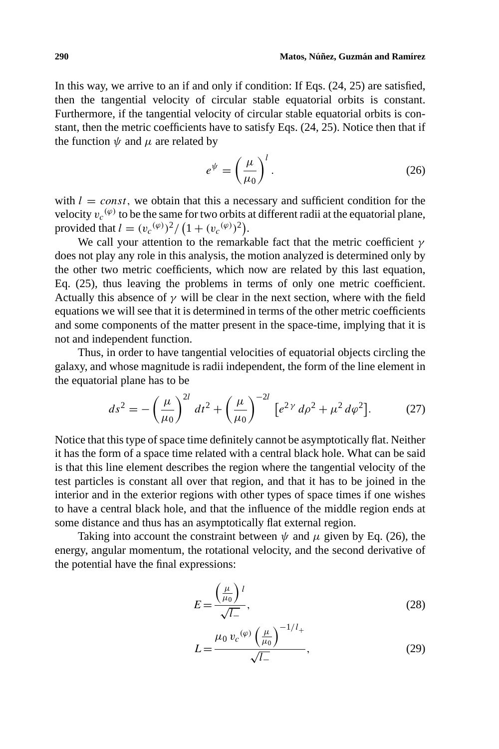In this way, we arrive to an if and only if condition: If Eqs. (24, 25) are satisfied, then the tangential velocity of circular stable equatorial orbits is constant. Furthermore, if the tangential velocity of circular stable equatorial orbits is constant, then the metric coefficients have to satisfy Eqs. (24, 25). Notice then that if the function  $\psi$  and  $\mu$  are related by

$$
e^{\psi} = \left(\frac{\mu}{\mu_0}\right)^l.
$$
 (26)

with  $l = const$ , we obtain that this a necessary and sufficient condition for the velocity  $v_c^{(\varphi)}$  to be the same for two orbits at different radii at the equatorial plane, provided that  $l = (v_c^{(\varphi)})^2 / (1 + (v_c^{(\varphi)})^2)$ .

We call your attention to the remarkable fact that the metric coefficient  $\gamma$ does not play any role in this analysis, the motion analyzed is determined only by the other two metric coefficients, which now are related by this last equation, Eq. (25), thus leaving the problems in terms of only one metric coefficient. Actually this absence of  $\gamma$  will be clear in the next section, where with the field equations we will see that it is determined in terms of the other metric coefficients and some components of the matter present in the space-time, implying that it is not and independent function.

Thus, in order to have tangential velocities of equatorial objects circling the galaxy, and whose magnitude is radii independent, the form of the line element in the equatorial plane has to be

$$
ds^{2} = -\left(\frac{\mu}{\mu_{0}}\right)^{2l} dt^{2} + \left(\frac{\mu}{\mu_{0}}\right)^{-2l} \left[e^{2\gamma} d\rho^{2} + \mu^{2} d\varphi^{2}\right].
$$
 (27)

Notice that this type of space time definitely cannot be asymptotically flat. Neither it has the form of a space time related with a central black hole. What can be said is that this line element describes the region where the tangential velocity of the test particles is constant all over that region, and that it has to be joined in the interior and in the exterior regions with other types of space times if one wishes to have a central black hole, and that the influence of the middle region ends at some distance and thus has an asymptotically flat external region.

Taking into account the constraint between  $\psi$  and  $\mu$  given by Eq. (26), the energy, angular momentum, the rotational velocity, and the second derivative of the potential have the final expressions:

$$
E = \frac{\left(\frac{\mu}{\mu_0}\right)^l}{\sqrt{l_-}},\tag{28}
$$

$$
L = \frac{\mu_0 v_c^{(\varphi)} \left(\frac{\mu}{\mu_0}\right)^{-1/l_+}}{\sqrt{l_-}},
$$
\n(29)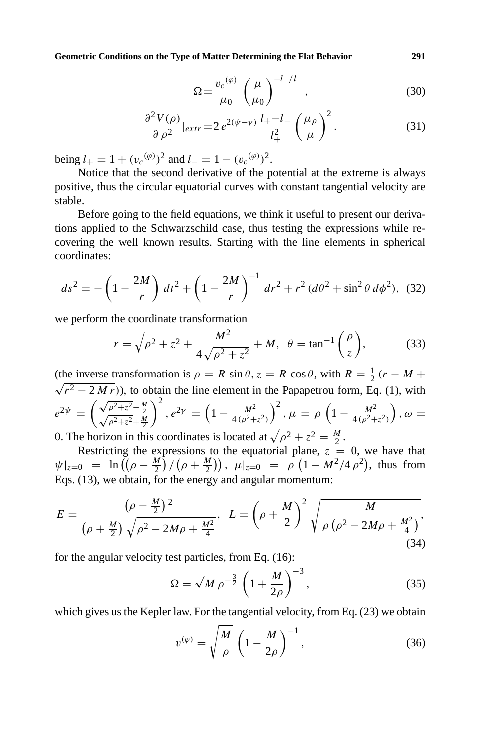**Geometric Conditions on the Type of Matter Determining the Flat Behavior 291**

$$
\Omega = \frac{v_c^{(\varphi)}}{\mu_0} \left(\frac{\mu}{\mu_0}\right)^{-l_-/l_+},\tag{30}
$$

$$
\frac{\partial^2 V(\rho)}{\partial \rho^2}|_{extr} = 2 e^{2(\psi - \gamma)} \frac{l_+ - l_-}{l_+^2} \left(\frac{\mu_\rho}{\mu}\right)^2.
$$
 (31)

being  $l_+ = 1 + (v_c^{(\varphi)})^2$  and  $l_- = 1 - (v_c^{(\varphi)})^2$ .

Notice that the second derivative of the potential at the extreme is always positive, thus the circular equatorial curves with constant tangential velocity are stable.

Before going to the field equations, we think it useful to present our derivations applied to the Schwarzschild case, thus testing the expressions while recovering the well known results. Starting with the line elements in spherical coordinates:

$$
ds^{2} = -\left(1 - \frac{2M}{r}\right)dt^{2} + \left(1 - \frac{2M}{r}\right)^{-1}dr^{2} + r^{2}\left(d\theta^{2} + \sin^{2}\theta\,d\phi^{2}\right), \tag{32}
$$

we perform the coordinate transformation

$$
r = \sqrt{\rho^2 + z^2} + \frac{M^2}{4\sqrt{\rho^2 + z^2}} + M, \ \theta = \tan^{-1}\left(\frac{\rho}{z}\right),\tag{33}
$$

(the inverse transformation is  $\rho = R \sin \theta$ ,  $z = R \cos \theta$ , with  $R = \frac{1}{2}(r - M +$  $\sqrt{r^2 - 2Mr}$ ), to obtain the line element in the Papapetrou form, Eq. (1), with  $e^{2\psi} = \left(\frac{\sqrt{\rho^2 + z^2} - \frac{M}{2}}{\sqrt{\rho^2 + z^2} + \frac{M}{2}}\right)$  $\int^2$ ,  $e^{2\gamma} = \left(1 - \frac{M^2}{4(\rho^2 + z^2)}\right)$  $\int^2$ ,  $\mu = \rho \left(1 - \frac{M^2}{4(\rho^2 + z^2)}\right)$  $\Big)$  ,  $\omega =$ 0. The horizon in this coordinates is located at  $\sqrt{\rho^2 + z^2} = \frac{M}{2}$ .

Restricting the expressions to the equatorial plane,  $z = 0$ , we have that  $\psi|_{z=0} = \ln ((\rho - \frac{M}{2}) / (\rho + \frac{M}{2}))$ ,  $\mu|_{z=0} = \rho (1 - M^2 / 4 \rho^2)$ , thus from Eqs. (13), we obtain, for the energy and angular momentum:

$$
E = \frac{(\rho - \frac{M}{2})^2}{(\rho + \frac{M}{2})\sqrt{\rho^2 - 2M\rho + \frac{M^2}{4}}}, \quad L = \left(\rho + \frac{M}{2}\right)^2 \sqrt{\frac{M}{\rho\left(\rho^2 - 2M\rho + \frac{M^2}{4}\right)}},\tag{34}
$$

for the angular velocity test particles, from Eq. (16):

$$
\Omega = \sqrt{M} \rho^{-\frac{3}{2}} \left( 1 + \frac{M}{2\rho} \right)^{-3}, \tag{35}
$$

which gives us the Kepler law. For the tangential velocity, from Eq. (23) we obtain

$$
v^{(\varphi)} = \sqrt{\frac{M}{\rho}} \left( 1 - \frac{M}{2\rho} \right)^{-1},\tag{36}
$$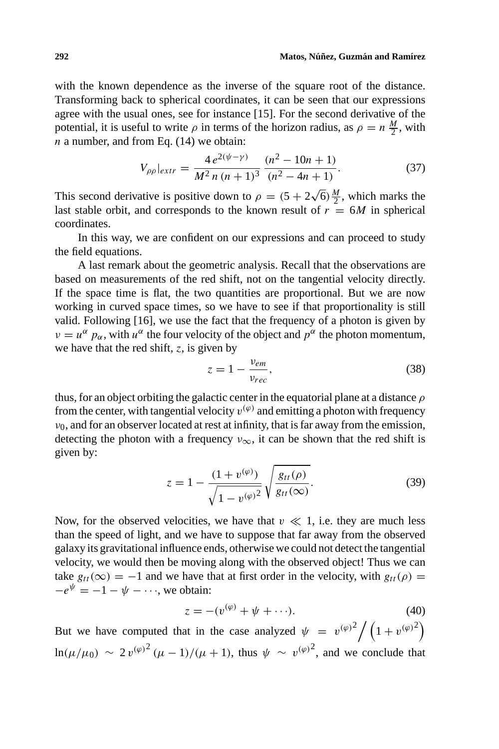with the known dependence as the inverse of the square root of the distance. Transforming back to spherical coordinates, it can be seen that our expressions agree with the usual ones, see for instance [15]. For the second derivative of the potential, it is useful to write  $\rho$  in terms of the horizon radius, as  $\rho = n \frac{M}{2}$ , with  $n$  a number, and from Eq. (14) we obtain:

$$
V_{\rho\rho}|_{extr} = \frac{4 e^{2(\psi - \gamma)}}{M^2 n (n+1)^3} \frac{(n^2 - 10n + 1)}{(n^2 - 4n + 1)}.
$$
 (37)

This second derivative is positive down to  $\rho = (5 + 2\sqrt{6})\frac{M}{2}$ , which marks the last stable orbit, and corresponds to the known result of  $r = 6M$  in spherical coordinates.

In this way, we are confident on our expressions and can proceed to study the field equations.

A last remark about the geometric analysis. Recall that the observations are based on measurements of the red shift, not on the tangential velocity directly. If the space time is flat, the two quantities are proportional. But we are now working in curved space times, so we have to see if that proportionality is still valid. Following [16], we use the fact that the frequency of a photon is given by  $v = u^{\alpha} p_{\alpha}$ , with  $u^{\alpha}$  the four velocity of the object and  $p^{\alpha}$  the photon momentum, we have that the red shift,  $z$ , is given by

$$
z = 1 - \frac{\nu_{em}}{\nu_{rec}},\tag{38}
$$

thus, for an object orbiting the galactic center in the equatorial plane at a distance  $\rho$ from the center, with tangential velocity  $v^{(\varphi)}$  and emitting a photon with frequency  $v_0$ , and for an observer located at rest at infinity, that is far away from the emission, detecting the photon with a frequency  $v_{\infty}$ , it can be shown that the red shift is given by:

$$
z = 1 - \frac{(1 + v^{(\varphi)})}{\sqrt{1 - v^{(\varphi)}^2}} \sqrt{\frac{g_{tt}(\rho)}{g_{tt}(\infty)}}.
$$
 (39)

Now, for the observed velocities, we have that  $v \ll 1$ , i.e. they are much less than the speed of light, and we have to suppose that far away from the observed galaxy its gravitational influence ends, otherwise we could not detect the tangential velocity, we would then be moving along with the observed object! Thus we can take  $g_{tt}(\infty) = -1$  and we have that at first order in the velocity, with  $g_{tt}(\rho) =$  $-e^{\psi} = -1 - \psi - \cdots$ , we obtain:

$$
z = -(v^{(\varphi)} + \psi + \cdots). \tag{40}
$$

But we have computed that in the case analyzed  $\psi = v^{(\varphi)^2} / (1 + v^{(\varphi)^2})$  $\ln(\mu/\mu_0) \sim 2 v^{(\varphi)^2} (\mu - 1)/(\mu + 1)$ , thus  $\psi \sim v^{(\varphi)^2}$ , and we conclude that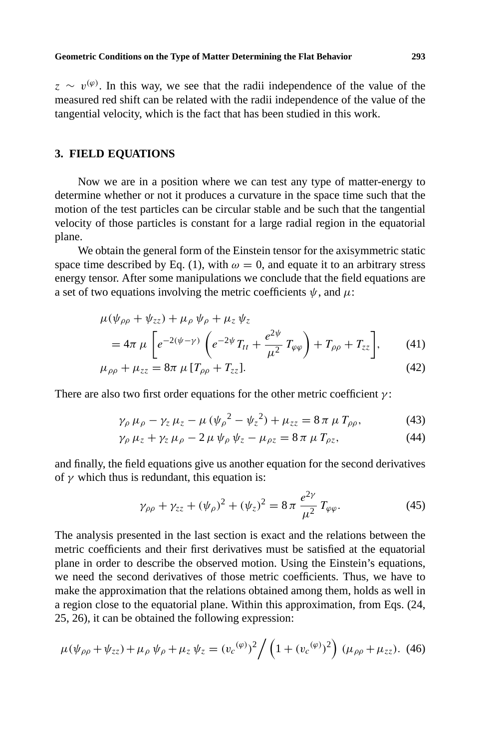$z \sim v^{(\varphi)}$ . In this way, we see that the radii independence of the value of the measured red shift can be related with the radii independence of the value of the tangential velocity, which is the fact that has been studied in this work.

# **3. FIELD EQUATIONS**

Now we are in a position where we can test any type of matter-energy to determine whether or not it produces a curvature in the space time such that the motion of the test particles can be circular stable and be such that the tangential velocity of those particles is constant for a large radial region in the equatorial plane.

We obtain the general form of the Einstein tensor for the axisymmetric static space time described by Eq. (1), with  $\omega = 0$ , and equate it to an arbitrary stress energy tensor. After some manipulations we conclude that the field equations are a set of two equations involving the metric coefficients  $\psi$ , and  $\mu$ :

$$
\mu(\psi_{\rho\rho} + \psi_{zz}) + \mu_{\rho} \psi_{\rho} + \mu_z \psi_z
$$
  
=  $4\pi \mu \left[ e^{-2(\psi - \gamma)} \left( e^{-2\psi} T_{tt} + \frac{e^{2\psi}}{\mu^2} T_{\varphi\varphi} \right) + T_{\rho\rho} + T_{zz} \right],$  (41)

$$
\mu_{\rho\rho} + \mu_{zz} = 8\pi \,\mu \left[ T_{\rho\rho} + T_{zz} \right]. \tag{42}
$$

There are also two first order equations for the other metric coefficient  $\gamma$ :

$$
\gamma_{\rho} \mu_{\rho} - \gamma_{z} \mu_{z} - \mu (\psi_{\rho}^{2} - \psi_{z}^{2}) + \mu_{zz} = 8 \pi \mu T_{\rho \rho}, \qquad (43)
$$

$$
\gamma_{\rho} \mu_{z} + \gamma_{z} \mu_{\rho} - 2 \mu \psi_{\rho} \psi_{z} - \mu_{\rho z} = 8 \pi \mu T_{\rho z}, \qquad (44)
$$

and finally, the field equations give us another equation for the second derivatives of  $\gamma$  which thus is redundant, this equation is:

$$
\gamma_{\rho\rho} + \gamma_{zz} + (\psi_{\rho})^2 + (\psi_z)^2 = 8\pi \frac{e^{2\gamma}}{\mu^2} T_{\varphi\varphi}.
$$
 (45)

The analysis presented in the last section is exact and the relations between the metric coefficients and their first derivatives must be satisfied at the equatorial plane in order to describe the observed motion. Using the Einstein's equations, we need the second derivatives of those metric coefficients. Thus, we have to make the approximation that the relations obtained among them, holds as well in a region close to the equatorial plane. Within this approximation, from Eqs. (24, 25, 26), it can be obtained the following expression:

$$
\mu(\psi_{\rho\rho} + \psi_{zz}) + \mu_{\rho} \psi_{\rho} + \mu_{z} \psi_{z} = (v_c^{(\varphi)})^2 / \left(1 + (v_c^{(\varphi)})^2\right) (\mu_{\rho\rho} + \mu_{zz}). \tag{46}
$$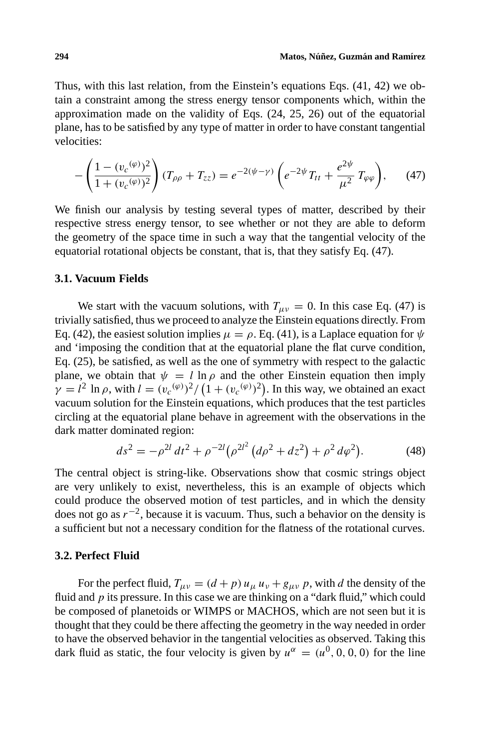Thus, with this last relation, from the Einstein's equations Eqs. (41, 42) we obtain a constraint among the stress energy tensor components which, within the approximation made on the validity of Eqs. (24, 25, 26) out of the equatorial plane, has to be satisfied by any type of matter in order to have constant tangential velocities:

$$
-\left(\frac{1-(v_c^{(\varphi)})^2}{1+(v_c^{(\varphi)})^2}\right)(T_{\rho\rho}+T_{zz})=e^{-2(\psi-\gamma)}\left(e^{-2\psi}T_{tt}+\frac{e^{2\psi}}{\mu^2}T_{\varphi\varphi}\right),\qquad(47)
$$

We finish our analysis by testing several types of matter, described by their respective stress energy tensor, to see whether or not they are able to deform the geometry of the space time in such a way that the tangential velocity of the equatorial rotational objects be constant, that is, that they satisfy Eq. (47).

# **3.1. Vacuum Fields**

We start with the vacuum solutions, with  $T_{\mu\nu} = 0$ . In this case Eq. (47) is trivially satisfied, thus we proceed to analyze the Einstein equations directly. From Eq. (42), the easiest solution implies  $\mu = \rho$ . Eq. (41), is a Laplace equation for  $\psi$ and 'imposing the condition that at the equatorial plane the flat curve condition, Eq. (25), be satisfied, as well as the one of symmetry with respect to the galactic plane, we obtain that  $\psi = l \ln \rho$  and the other Einstein equation then imply  $\gamma = l^2 \ln \rho$ , with  $l = (v_c^{(\varphi)})^2 / (1 + (v_c^{(\varphi)})^2)$ . In this way, we obtained an exact vacuum solution for the Einstein equations, which produces that the test particles circling at the equatorial plane behave in agreement with the observations in the dark matter dominated region:

$$
ds^{2} = -\rho^{2l} dt^{2} + \rho^{-2l} (\rho^{2l^{2}} (d\rho^{2} + dz^{2}) + \rho^{2} d\varphi^{2}).
$$
 (48)

The central object is string-like. Observations show that cosmic strings object are very unlikely to exist, nevertheless, this is an example of objects which could produce the observed motion of test particles, and in which the density does not go as  $r^{-2}$ , because it is vacuum. Thus, such a behavior on the density is a sufficient but not a necessary condition for the flatness of the rotational curves.

# **3.2. Perfect Fluid**

For the perfect fluid,  $T_{\mu\nu} = (d + p) u_{\mu} u_{\nu} + g_{\mu\nu} p$ , with d the density of the fluid and  $p$  its pressure. In this case we are thinking on a "dark fluid," which could be composed of planetoids or WIMPS or MACHOS, which are not seen but it is thought that they could be there affecting the geometry in the way needed in order to have the observed behavior in the tangential velocities as observed. Taking this dark fluid as static, the four velocity is given by  $u^{\alpha} = (u^0, 0, 0, 0)$  for the line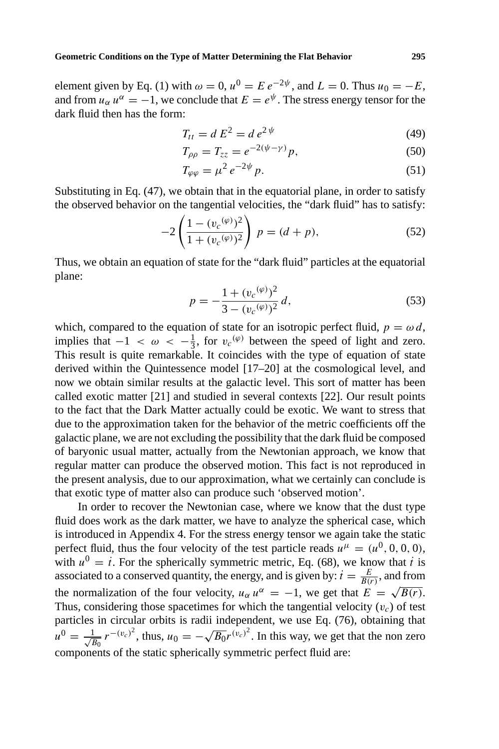element given by Eq. (1) with  $\omega = 0$ ,  $u^0 = E e^{-2\psi}$ , and  $L = 0$ . Thus  $u_0 = -E$ , and from  $u_{\alpha} u^{\alpha} = -1$ , we conclude that  $E = e^{\psi}$ . The stress energy tensor for the dark fluid then has the form:

$$
T_{tt} = d E^2 = d e^{2 \psi} \tag{49}
$$

$$
T_{\rho\rho} = T_{zz} = e^{-2(\psi - \gamma)} p,
$$
\n(50)

$$
T_{\varphi\varphi} = \mu^2 e^{-2\psi} p. \tag{51}
$$

Substituting in Eq. (47), we obtain that in the equatorial plane, in order to satisfy the observed behavior on the tangential velocities, the "dark fluid" has to satisfy:

$$
-2\left(\frac{1-(v_c^{(\varphi)})^2}{1+(v_c^{(\varphi)})^2}\right)p = (d+p),\tag{52}
$$

Thus, we obtain an equation of state for the "dark fluid" particles at the equatorial plane:

$$
p = -\frac{1 + (v_c^{(\varphi)})^2}{3 - (v_c^{(\varphi)})^2} d,
$$
\n(53)

which, compared to the equation of state for an isotropic perfect fluid,  $p = \omega d$ , implies that  $-1 < \omega < -\frac{1}{3}$ , for  $v_c^{(\varphi)}$  between the speed of light and zero. This result is quite remarkable. It coincides with the type of equation of state derived within the Quintessence model [17–20] at the cosmological level, and now we obtain similar results at the galactic level. This sort of matter has been called exotic matter [21] and studied in several contexts [22]. Our result points to the fact that the Dark Matter actually could be exotic. We want to stress that due to the approximation taken for the behavior of the metric coefficients off the galactic plane, we are not excluding the possibility that the dark fluid be composed of baryonic usual matter, actually from the Newtonian approach, we know that regular matter can produce the observed motion. This fact is not reproduced in the present analysis, due to our approximation, what we certainly can conclude is that exotic type of matter also can produce such 'observed motion'.

In order to recover the Newtonian case, where we know that the dust type fluid does work as the dark matter, we have to analyze the spherical case, which is introduced in Appendix 4. For the stress energy tensor we again take the static perfect fluid, thus the four velocity of the test particle reads  $u^{\mu} = (u^0, 0, 0, 0)$ , with  $u^0 = \dot{t}$ . For the spherically symmetric metric, Eq. (68), we know that  $\dot{t}$  is associated to a conserved quantity, the energy, and is given by:  $\dot{t} = \frac{E}{B(r)}$ , and from the normalization of the four velocity,  $u_{\alpha} u^{\alpha} = -1$ , we get that  $E = \sqrt{B(r)}$ . Thus, considering those spacetimes for which the tangential velocity  $(v_c)$  of test particles in circular orbits is radii independent, we use Eq. (76), obtaining that  $u^0 = \frac{1}{\sqrt{B_0}} r^{-(v_c)^2}$ , thus,  $u_0 = -\sqrt{B_0} r^{(v_c)^2}$ . In this way, we get that the non zero components of the static spherically symmetric perfect fluid are: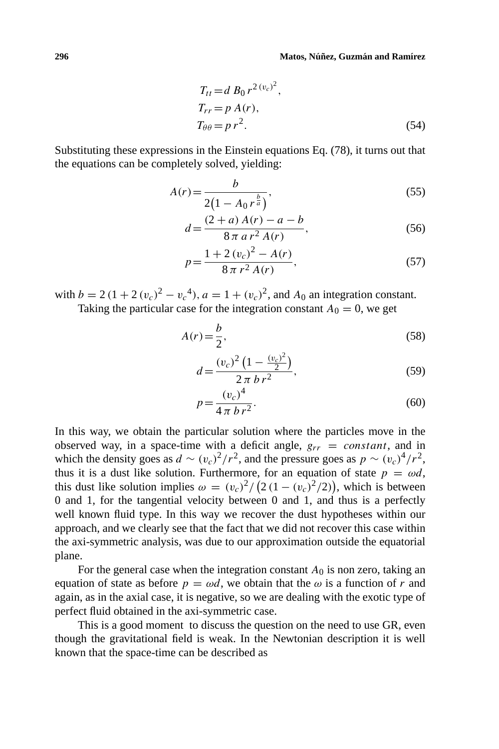$$
T_{tt} = d B_0 r^{2 (v_c)^2},
$$
  
\n
$$
T_{rr} = p A(r),
$$
  
\n
$$
T_{\theta\theta} = p r^2.
$$
\n(54)

Substituting these expressions in the Einstein equations Eq. (78), it turns out that the equations can be completely solved, yielding:

$$
A(r) = \frac{b}{2\left(1 - A_0 r^{\frac{b}{a}}\right)},
$$
\n(55)

$$
d = \frac{(2+a) A(r) - a - b}{8 \pi a r^2 A(r)},
$$
\n(56)

$$
p = \frac{1 + 2(v_c)^2 - A(r)}{8\pi r^2 A(r)},
$$
\n(57)

with  $b = 2(1 + 2(v_c)^2 - v_c^4)$ ,  $a = 1 + (v_c)^2$ , and  $A_0$  an integration constant. Taking the particular case for the integration constant  $A_0 = 0$ , we get

$$
A(r) = \frac{b}{2},\tag{58}
$$

$$
d = \frac{(v_c)^2 \left(1 - \frac{(v_c)^2}{2}\right)}{2 \pi b r^2},\tag{59}
$$

$$
p = \frac{(v_c)^4}{4 \pi b r^2}.
$$
\n(60)

In this way, we obtain the particular solution where the particles move in the observed way, in a space-time with a deficit angle,  $g_{rr} = constant$ , and in which the density goes as  $d \sim (v_c)^2/r^2$ , and the pressure goes as  $p \sim (v_c)^4/r^2$ , thus it is a dust like solution. Furthermore, for an equation of state  $p = \omega d$ , this dust like solution implies  $\omega = (v_c)^2 / (2(1 - (v_c)^2/2))$ , which is between 0 and 1, for the tangential velocity between 0 and 1, and thus is a perfectly well known fluid type. In this way we recover the dust hypotheses within our approach, and we clearly see that the fact that we did not recover this case within the axi-symmetric analysis, was due to our approximation outside the equatorial plane.

For the general case when the integration constant  $A_0$  is non zero, taking an equation of state as before  $p = \omega d$ , we obtain that the  $\omega$  is a function of r and again, as in the axial case, it is negative, so we are dealing with the exotic type of perfect fluid obtained in the axi-symmetric case.

This is a good moment to discuss the question on the need to use GR, even though the gravitational field is weak. In the Newtonian description it is well known that the space-time can be described as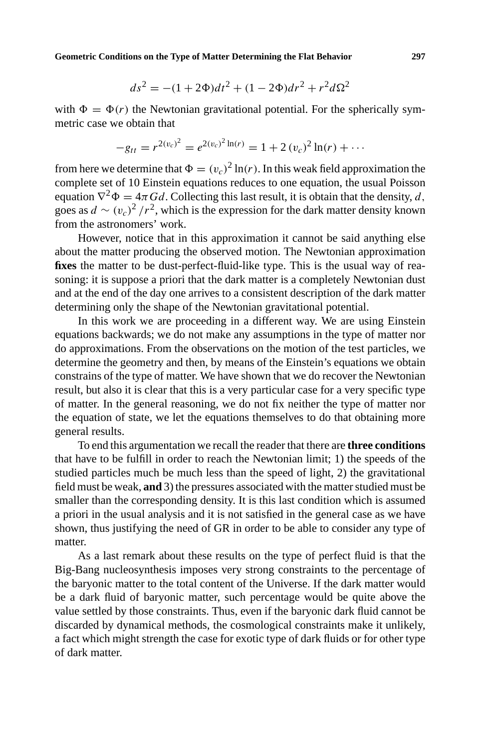**Geometric Conditions on the Type of Matter Determining the Flat Behavior 297**

$$
ds^{2} = -(1 + 2\Phi)dt^{2} + (1 - 2\Phi)dr^{2} + r^{2}d\Omega^{2}
$$

with  $\Phi = \Phi(r)$  the Newtonian gravitational potential. For the spherically symmetric case we obtain that

$$
-g_{tt} = r^{2(v_c)^2} = e^{2(v_c)^2 \ln(r)} = 1 + 2(v_c)^2 \ln(r) + \cdots
$$

from here we determine that  $\Phi = (v_c)^2 \ln(r)$ . In this weak field approximation the complete set of 10 Einstein equations reduces to one equation, the usual Poisson equation  $\nabla^2 \Phi = 4\pi G d$ . Collecting this last result, it is obtain that the density, d, goes as  $d \sim (v_c)^2 / r^2$ , which is the expression for the dark matter density known from the astronomers' work.

However, notice that in this approximation it cannot be said anything else about the matter producing the observed motion. The Newtonian approximation **fixes** the matter to be dust-perfect-fluid-like type. This is the usual way of reasoning: it is suppose a priori that the dark matter is a completely Newtonian dust and at the end of the day one arrives to a consistent description of the dark matter determining only the shape of the Newtonian gravitational potential.

In this work we are proceeding in a different way. We are using Einstein equations backwards; we do not make any assumptions in the type of matter nor do approximations. From the observations on the motion of the test particles, we determine the geometry and then, by means of the Einstein's equations we obtain constrains of the type of matter. We have shown that we do recover the Newtonian result, but also it is clear that this is a very particular case for a very specific type of matter. In the general reasoning, we do not fix neither the type of matter nor the equation of state, we let the equations themselves to do that obtaining more general results.

To end this argumentation we recall the reader that there are **three conditions** that have to be fulfill in order to reach the Newtonian limit; 1) the speeds of the studied particles much be much less than the speed of light, 2) the gravitational field must be weak, **and** 3) the pressures associated with the matter studied must be smaller than the corresponding density. It is this last condition which is assumed a priori in the usual analysis and it is not satisfied in the general case as we have shown, thus justifying the need of GR in order to be able to consider any type of matter.

As a last remark about these results on the type of perfect fluid is that the Big-Bang nucleosynthesis imposes very strong constraints to the percentage of the baryonic matter to the total content of the Universe. If the dark matter would be a dark fluid of baryonic matter, such percentage would be quite above the value settled by those constraints. Thus, even if the baryonic dark fluid cannot be discarded by dynamical methods, the cosmological constraints make it unlikely, a fact which might strength the case for exotic type of dark fluids or for other type of dark matter.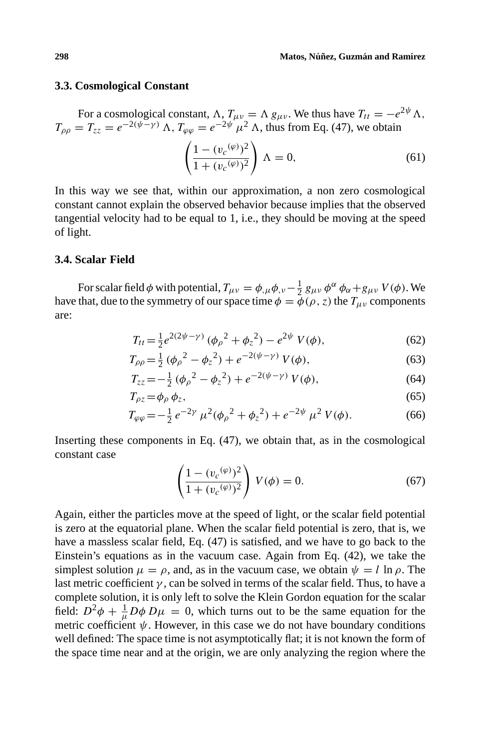#### **3.3. Cosmological Constant**

For a cosmological constant,  $\Lambda$ ,  $T_{\mu\nu} = \Lambda g_{\mu\nu}$ . We thus have  $T_{tt} = -e^{2\psi}\Lambda$ ,  $T_{\rho\rho} = T_{zz} = e^{-2(\psi - \gamma)} \Lambda$ ,  $T_{\varphi\varphi} = e^{-2\psi} \mu^2 \Lambda$ , thus from Eq. (47), we obtain

$$
\left(\frac{1 - (v_c^{(\varphi)})^2}{1 + (v_c^{(\varphi)})^2}\right) \Lambda = 0,
$$
\n(61)

In this way we see that, within our approximation, a non zero cosmological constant cannot explain the observed behavior because implies that the observed tangential velocity had to be equal to 1, i.e., they should be moving at the speed of light.

### **3.4. Scalar Field**

For scalar field  $\phi$  with potential,  $T_{\mu\nu} = \phi_{,\mu} \phi_{,\nu} - \frac{1}{2} g_{\mu\nu} \phi^{\alpha} \phi_{\alpha} + g_{\mu\nu} V(\phi)$ . We have that, due to the symmetry of our space time  $\phi = \phi(\rho, z)$  the  $T_{\mu\nu}$  components are:

$$
T_{tt} = \frac{1}{2} e^{2(2\psi - \gamma)} (\phi_{\rho}^2 + \phi_z^2) - e^{2\psi} V(\phi),
$$
 (62)

$$
T_{\rho\rho} = \frac{1}{2} \left( \phi_{\rho}^2 - \phi_z^2 \right) + e^{-2(\psi - \gamma)} V(\phi), \tag{63}
$$

$$
T_{zz} = -\frac{1}{2} \left( \phi_{\rho}^2 - \phi_z^2 \right) + e^{-2(\psi - \gamma)} V(\phi), \tag{64}
$$

$$
T_{\rho z} = \phi_{\rho} \, \phi_z,\tag{65}
$$

$$
T_{\varphi\varphi} = -\frac{1}{2} e^{-2\gamma} \mu^2 (\phi_\rho^2 + \phi_z^2) + e^{-2\psi} \mu^2 V(\phi).
$$
 (66)

Inserting these components in Eq. (47), we obtain that, as in the cosmological constant case

$$
\left(\frac{1 - (v_c^{(\varphi)})^2}{1 + (v_c^{(\varphi)})^2}\right) V(\phi) = 0.
$$
\n(67)

Again, either the particles move at the speed of light, or the scalar field potential is zero at the equatorial plane. When the scalar field potential is zero, that is, we have a massless scalar field, Eq. (47) is satisfied, and we have to go back to the Einstein's equations as in the vacuum case. Again from Eq. (42), we take the simplest solution  $\mu = \rho$ , and, as in the vacuum case, we obtain  $\psi = l \ln \rho$ . The last metric coefficient  $\gamma$ , can be solved in terms of the scalar field. Thus, to have a complete solution, it is only left to solve the Klein Gordon equation for the scalar field:  $D^2 \phi + \frac{1}{\mu} D \phi D \mu = 0$ , which turns out to be the same equation for the metric coefficient  $\psi$ . However, in this case we do not have boundary conditions well defined: The space time is not asymptotically flat; it is not known the form of the space time near and at the origin, we are only analyzing the region where the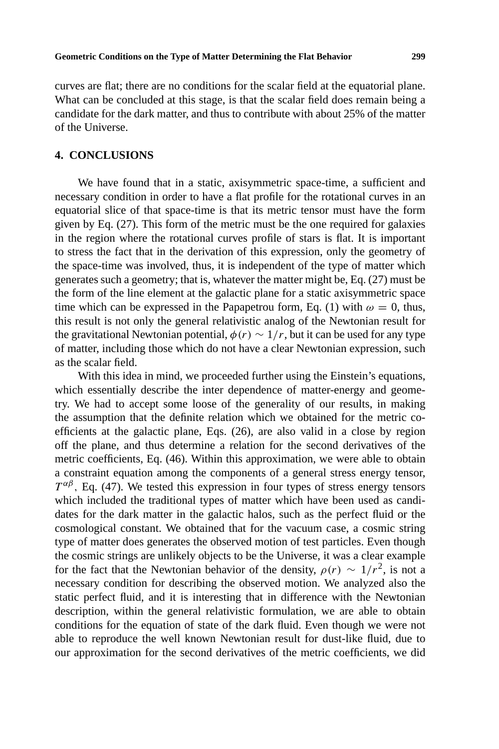curves are flat; there are no conditions for the scalar field at the equatorial plane. What can be concluded at this stage, is that the scalar field does remain being a candidate for the dark matter, and thus to contribute with about 25% of the matter of the Universe.

# **4. CONCLUSIONS**

We have found that in a static, axisymmetric space-time, a sufficient and necessary condition in order to have a flat profile for the rotational curves in an equatorial slice of that space-time is that its metric tensor must have the form given by Eq. (27). This form of the metric must be the one required for galaxies in the region where the rotational curves profile of stars is flat. It is important to stress the fact that in the derivation of this expression, only the geometry of the space-time was involved, thus, it is independent of the type of matter which generates such a geometry; that is, whatever the matter might be, Eq. (27) must be the form of the line element at the galactic plane for a static axisymmetric space time which can be expressed in the Papapetrou form, Eq. (1) with  $\omega = 0$ , thus, this result is not only the general relativistic analog of the Newtonian result for the gravitational Newtonian potential,  $\phi(r) \sim 1/r$ , but it can be used for any type of matter, including those which do not have a clear Newtonian expression, such as the scalar field.

With this idea in mind, we proceeded further using the Einstein's equations, which essentially describe the inter dependence of matter-energy and geometry. We had to accept some loose of the generality of our results, in making the assumption that the definite relation which we obtained for the metric coefficients at the galactic plane, Eqs. (26), are also valid in a close by region off the plane, and thus determine a relation for the second derivatives of the metric coefficients, Eq. (46). Within this approximation, we were able to obtain a constraint equation among the components of a general stress energy tensor,  $T^{\alpha\beta}$ , Eq. (47). We tested this expression in four types of stress energy tensors which included the traditional types of matter which have been used as candidates for the dark matter in the galactic halos, such as the perfect fluid or the cosmological constant. We obtained that for the vacuum case, a cosmic string type of matter does generates the observed motion of test particles. Even though the cosmic strings are unlikely objects to be the Universe, it was a clear example for the fact that the Newtonian behavior of the density,  $\rho(r) \sim 1/r^2$ , is not a necessary condition for describing the observed motion. We analyzed also the static perfect fluid, and it is interesting that in difference with the Newtonian description, within the general relativistic formulation, we are able to obtain conditions for the equation of state of the dark fluid. Even though we were not able to reproduce the well known Newtonian result for dust-like fluid, due to our approximation for the second derivatives of the metric coefficients, we did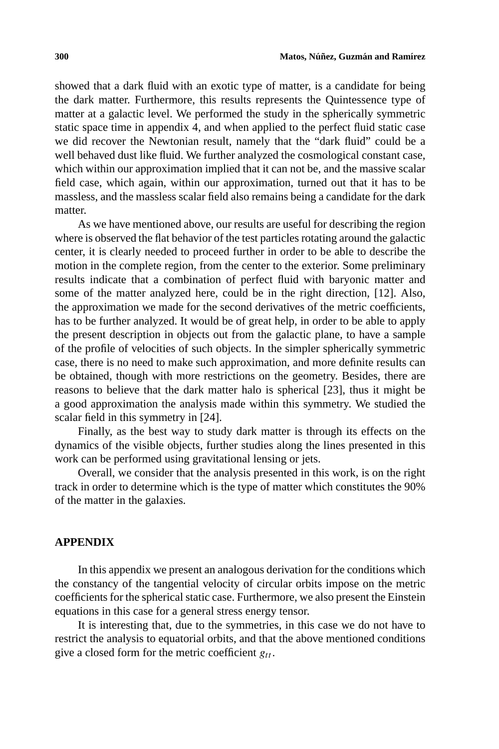showed that a dark fluid with an exotic type of matter, is a candidate for being the dark matter. Furthermore, this results represents the Quintessence type of matter at a galactic level. We performed the study in the spherically symmetric static space time in appendix 4, and when applied to the perfect fluid static case we did recover the Newtonian result, namely that the "dark fluid" could be a well behaved dust like fluid. We further analyzed the cosmological constant case, which within our approximation implied that it can not be, and the massive scalar field case, which again, within our approximation, turned out that it has to be massless, and the massless scalar field also remains being a candidate for the dark matter.

As we have mentioned above, our results are useful for describing the region where is observed the flat behavior of the test particles rotating around the galactic center, it is clearly needed to proceed further in order to be able to describe the motion in the complete region, from the center to the exterior. Some preliminary results indicate that a combination of perfect fluid with baryonic matter and some of the matter analyzed here, could be in the right direction, [12]. Also, the approximation we made for the second derivatives of the metric coefficients, has to be further analyzed. It would be of great help, in order to be able to apply the present description in objects out from the galactic plane, to have a sample of the profile of velocities of such objects. In the simpler spherically symmetric case, there is no need to make such approximation, and more definite results can be obtained, though with more restrictions on the geometry. Besides, there are reasons to believe that the dark matter halo is spherical [23], thus it might be a good approximation the analysis made within this symmetry. We studied the scalar field in this symmetry in [24].

Finally, as the best way to study dark matter is through its effects on the dynamics of the visible objects, further studies along the lines presented in this work can be performed using gravitational lensing or jets.

Overall, we consider that the analysis presented in this work, is on the right track in order to determine which is the type of matter which constitutes the 90% of the matter in the galaxies.

# **APPENDIX**

In this appendix we present an analogous derivation for the conditions which the constancy of the tangential velocity of circular orbits impose on the metric coefficients for the spherical static case. Furthermore, we also present the Einstein equations in this case for a general stress energy tensor.

It is interesting that, due to the symmetries, in this case we do not have to restrict the analysis to equatorial orbits, and that the above mentioned conditions give a closed form for the metric coefficient  $g_{tt}$ .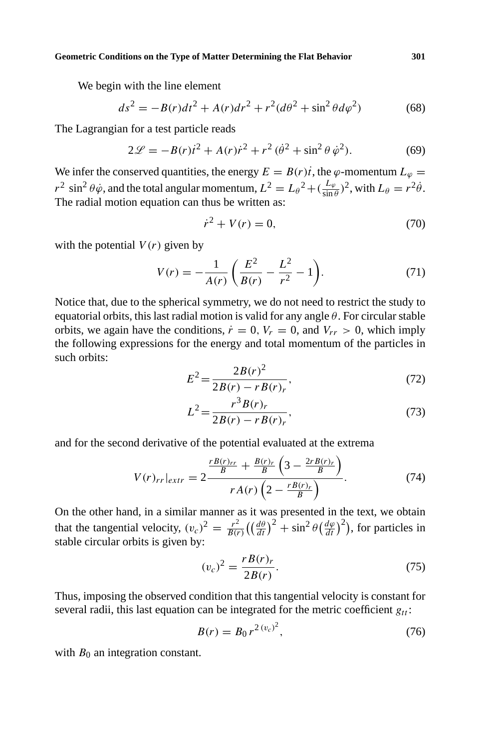**Geometric Conditions on the Type of Matter Determining the Flat Behavior 301**

We begin with the line element

$$
ds^{2} = -B(r)dt^{2} + A(r)dr^{2} + r^{2}(d\theta^{2} + \sin^{2}\theta d\varphi^{2})
$$
 (68)

The Lagrangian for a test particle reads

$$
2\mathcal{L} = -B(r)t^2 + A(r)\dot{r}^2 + r^2(\dot{\theta}^2 + \sin^2\theta\,\dot{\varphi}^2). \tag{69}
$$

We infer the conserved quantities, the energy  $E = B(r)t$ , the  $\varphi$ -momentum  $L_{\varphi} =$  $r^2 \sin^2 \theta \dot{\varphi}$ , and the total angular momentum,  $L^2 = L_\theta^2 + (\frac{L_\varphi}{\sin \theta})^2$ , with  $L_\theta = r^2 \dot{\theta}$ . The radial motion equation can thus be written as:

$$
\dot{r}^2 + V(r) = 0,\t(70)
$$

with the potential  $V(r)$  given by

$$
V(r) = -\frac{1}{A(r)} \left( \frac{E^2}{B(r)} - \frac{L^2}{r^2} - 1 \right).
$$
 (71)

Notice that, due to the spherical symmetry, we do not need to restrict the study to equatorial orbits, this last radial motion is valid for any angle  $\theta$ . For circular stable orbits, we again have the conditions,  $\dot{r} = 0$ ,  $V_r = 0$ , and  $V_{rr} > 0$ , which imply the following expressions for the energy and total momentum of the particles in such orbits:

$$
E^{2} = \frac{2B(r)^{2}}{2B(r) - rB(r)_{r}},
$$
\n(72)

$$
L^{2} = \frac{r^{3}B(r)_{r}}{2B(r) - rB(r)_{r}},
$$
\n(73)

and for the second derivative of the potential evaluated at the extrema

$$
V(r)_{rr}|_{extr} = 2\frac{\frac{rB(r)_{rr}}{B} + \frac{B(r)_{r}}{B} \left(3 - \frac{2rB(r)_{r}}{B}\right)}{rA(r)\left(2 - \frac{rB(r)_{r}}{B}\right)}.
$$
(74)

On the other hand, in a similar manner as it was presented in the text, we obtain that the tangential velocity,  $(v_c)^2 = \frac{r^2}{B(r)} \left( \left(\frac{d\theta}{dt}\right)^2 + \sin^2 \theta \left(\frac{d\varphi}{dt}\right)^2 \right)$ , for particles in stable circular orbits is given by:

$$
(v_c)^2 = \frac{r B(r)_r}{2B(r)}.
$$
 (75)

Thus, imposing the observed condition that this tangential velocity is constant for several radii, this last equation can be integrated for the metric coefficient  $g_{tt}$ :

$$
B(r) = B_0 r^{2(v_c)^2},
$$
\n(76)

with  $B_0$  an integration constant.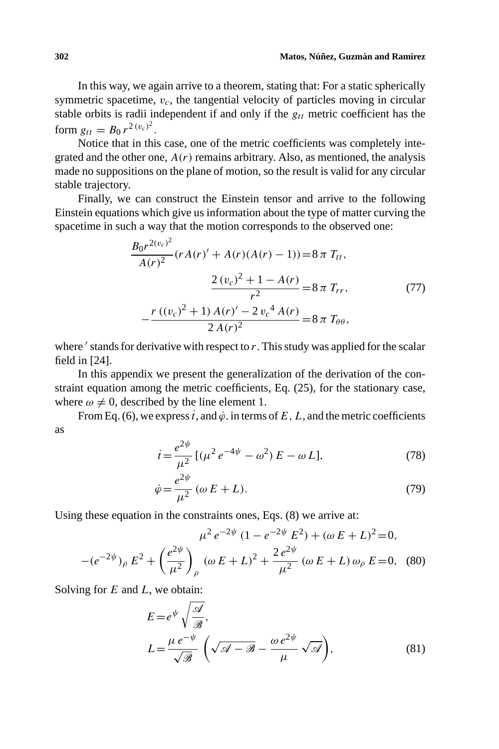In this way, we again arrive to a theorem, stating that: For a static spherically symmetric spacetime,  $v_c$ , the tangential velocity of particles moving in circular stable orbits is radii independent if and only if the  $g_{tt}$  metric coefficient has the form  $g_{tt} = B_0 r^2 (v_c)^2$ .

Notice that in this case, one of the metric coefficients was completely integrated and the other one,  $A(r)$  remains arbitrary. Also, as mentioned, the analysis made no suppositions on the plane of motion, so the result is valid for any circular stable trajectory.

Finally, we can construct the Einstein tensor and arrive to the following Einstein equations which give us information about the type of matter curving the spacetime in such a way that the motion corresponds to the observed one:

$$
\frac{B_0 r^{2(v_c)^2}}{A(r)^2} (rA(r)' + A(r)(A(r) - 1)) = 8\pi T_{tt},
$$
  

$$
\frac{2(v_c)^2 + 1 - A(r)}{r^2} = 8\pi T_{rr},
$$
(77)  

$$
-\frac{r((v_c)^2 + 1)A(r)' - 2v_c^4 A(r)}{2A(r)^2} = 8\pi T_{\theta\theta},
$$

where  $\prime$  stands for derivative with respect to  $r$ . This study was applied for the scalar field in [24].

In this appendix we present the generalization of the derivation of the constraint equation among the metric coefficients, Eq. (25), for the stationary case, where  $\omega \neq 0$ , described by the line element 1.

From Eq. (6), we express  $\vec{t}$ , and  $\dot{\varphi}$  in terms of  $E$ ,  $L$ , and the metric coefficients as

$$
\dot{t} = \frac{e^{2\psi}}{\mu^2} \left[ (\mu^2 e^{-4\psi} - \omega^2) E - \omega L \right],\tag{78}
$$

$$
\dot{\varphi} = \frac{e^{2\psi}}{\mu^2} \left( \omega E + L \right). \tag{79}
$$

Using these equation in the constraints ones, Eqs. (8) we arrive at:

$$
\mu^2 e^{-2\psi} (1 - e^{-2\psi} E^2) + (\omega E + L)^2 = 0,
$$
  
 
$$
-(e^{-2\psi})_\rho E^2 + \left(\frac{e^{2\psi}}{\mu^2}\right)_\rho (\omega E + L)^2 + \frac{2e^{2\psi}}{\mu^2} (\omega E + L) \omega_\rho E = 0, \quad (80)
$$

Solving for  $E$  and  $L$ , we obtain:

$$
E = e^{\psi} \sqrt{\frac{\mathcal{A}}{\mathcal{B}}},
$$
  
\n
$$
L = \frac{\mu e^{-\psi}}{\sqrt{\mathcal{B}}} \left( \sqrt{\mathcal{A} - \mathcal{B}} - \frac{\omega e^{2\psi}}{\mu} \sqrt{\mathcal{A}} \right),
$$
\n(81)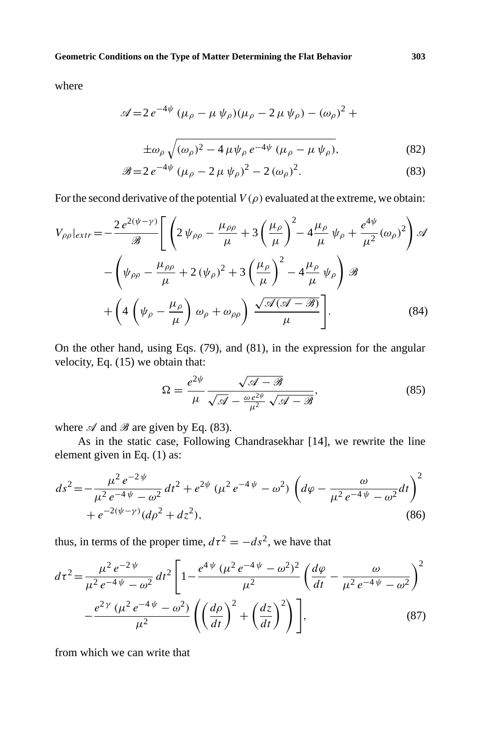where

$$
\mathcal{A} = 2 e^{-4\psi} (\mu_{\rho} - \mu \psi_{\rho}) (\mu_{\rho} - 2 \mu \psi_{\rho}) - (\omega_{\rho})^2 +
$$
  
+
$$
\omega \sqrt{(\omega_{\rho})^2 - 4 \mu \psi_{\rho} e^{-4\psi} (\mu_{\rho} - \mu \psi_{\rho})}
$$
(82)

$$
\pm \omega_{\rho} \sqrt{(\omega_{\rho})^2 - 4 \mu \psi_{\rho} e^{-4\psi} (\mu_{\rho} - \mu \psi_{\rho})},
$$
(82)  

$$
\omega = 2 e^{-4\psi} (\mu_{\rho} - 2 \mu \psi_{\rho})^2 - 2 (\omega_{\rho})^2
$$
(83)

$$
\mathcal{B} = 2 e^{-4\psi} \left( \mu_{\rho} - 2 \mu \psi_{\rho} \right)^2 - 2 \left( \omega_{\rho} \right)^2. \tag{83}
$$

For the second derivative of the potential  $V(\rho)$  evaluated at the extreme, we obtain:

$$
V_{\rho\rho}|_{extr} = -\frac{2 e^{2(\psi - \gamma)}}{\mathcal{B}} \left[ \left( 2 \psi_{\rho\rho} - \frac{\mu_{\rho\rho}}{\mu} + 3 \left( \frac{\mu_{\rho}}{\mu} \right)^2 - 4 \frac{\mu_{\rho}}{\mu} \psi_{\rho} + \frac{e^{4\psi}}{\mu^2} (\omega_{\rho})^2 \right) \mathcal{A} \right]
$$

$$
- \left( \psi_{\rho\rho} - \frac{\mu_{\rho\rho}}{\mu} + 2 (\psi_{\rho})^2 + 3 \left( \frac{\mu_{\rho}}{\mu} \right)^2 - 4 \frac{\mu_{\rho}}{\mu} \psi_{\rho} \right) \mathcal{B}
$$

$$
+ \left( 4 \left( \psi_{\rho} - \frac{\mu_{\rho}}{\mu} \right) \omega_{\rho} + \omega_{\rho\rho} \right) \frac{\sqrt{\mathcal{A}(\mathcal{A} - \mathcal{B})}}{\mu} \right]. \tag{84}
$$

On the other hand, using Eqs. (79), and (81), in the expression for the angular velocity, Eq. (15) we obtain that:

$$
\Omega = \frac{e^{2\psi}}{\mu} \frac{\sqrt{\mathcal{A} - \mathcal{B}}}{\sqrt{\mathcal{A} - \frac{\omega e^{2\psi}}{\mu^2}} \sqrt{\mathcal{A} - \mathcal{B}}},\tag{85}
$$

where  $\mathscr A$  and  $\mathscr B$  are given by Eq. (83).

As in the static case, Following Chandrasekhar [14], we rewrite the line element given in Eq. (1) as:

$$
ds^{2} = -\frac{\mu^{2} e^{-2\psi}}{\mu^{2} e^{-4\psi} - \omega^{2}} dt^{2} + e^{2\psi} (\mu^{2} e^{-4\psi} - \omega^{2}) \left( d\varphi - \frac{\omega}{\mu^{2} e^{-4\psi} - \omega^{2}} dt \right)^{2} + e^{-2(\psi - \gamma)} (d\rho^{2} + dz^{2}),
$$
\n(86)

thus, in terms of the proper time,  $d\tau^2 = -ds^2$ , we have that

$$
d\tau^{2} = \frac{\mu^{2} e^{-2\psi}}{\mu^{2} e^{-4\psi} - \omega^{2}} dt^{2} \left[ 1 - \frac{e^{4\psi} (\mu^{2} e^{-4\psi} - \omega^{2})^{2}}{\mu^{2}} \left( \frac{d\varphi}{dt} - \frac{\omega}{\mu^{2} e^{-4\psi} - \omega^{2}} \right)^{2} - \frac{e^{2\gamma} (\mu^{2} e^{-4\psi} - \omega^{2})}{\mu^{2}} \left( \left( \frac{d\rho}{dt} \right)^{2} + \left( \frac{dz}{dt} \right)^{2} \right) \right],
$$
 (87)

from which we can write that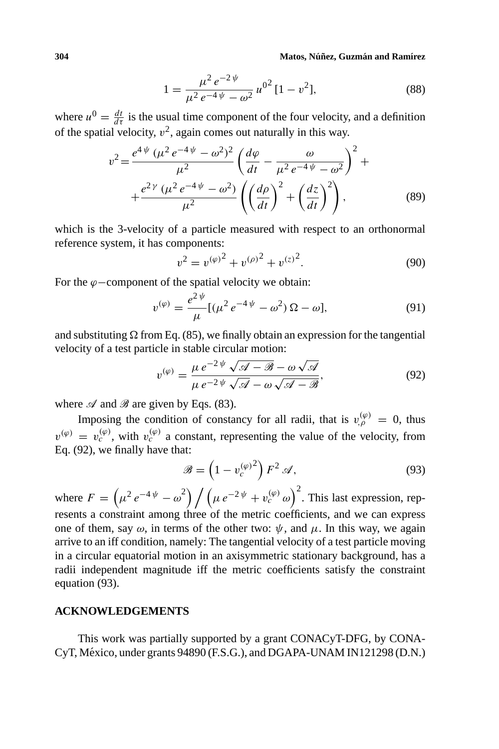**1304 Matos, Núñez, Guzmán and Ramírez** 

$$
1 = \frac{\mu^2 e^{-2\psi}}{\mu^2 e^{-4\psi} - \omega^2} u^{0^2} [1 - v^2],
$$
 (88)

where  $u^0 = \frac{dt}{d\tau}$  is the usual time component of the four velocity, and a definition of the spatial velocity,  $v^2$ , again comes out naturally in this way.

$$
v^{2} = \frac{e^{4\psi} (\mu^{2} e^{-4\psi} - \omega^{2})^{2}}{\mu^{2}} \left( \frac{d\varphi}{dt} - \frac{\omega}{\mu^{2} e^{-4\psi} - \omega^{2}} \right)^{2} +
$$

$$
+ \frac{e^{2\gamma} (\mu^{2} e^{-4\psi} - \omega^{2})}{\mu^{2}} \left( \left( \frac{d\rho}{dt} \right)^{2} + \left( \frac{dz}{dt} \right)^{2} \right), \tag{89}
$$

which is the 3-velocity of a particle measured with respect to an orthonormal reference system, it has components:

$$
v^2 = v^{(\varphi)^2} + v^{(\varphi)^2} + v^{(z)^2}.
$$
\n(90)

For the  $\varphi$ −component of the spatial velocity we obtain:

$$
v^{(\varphi)} = \frac{e^{2\psi}}{\mu} [(\mu^2 e^{-4\psi} - \omega^2) \Omega - \omega],
$$
 (91)

and substituting  $\Omega$  from Eq. (85), we finally obtain an expression for the tangential velocity of a test particle in stable circular motion:

$$
v^{(\varphi)} = \frac{\mu e^{-2\psi} \sqrt{\mathcal{A} - \mathcal{B}} - \omega \sqrt{\mathcal{A}}}{\mu e^{-2\psi} \sqrt{\mathcal{A} - \omega} \sqrt{\mathcal{A} - \mathcal{B}}},\tag{92}
$$

where  $\mathscr A$  and  $\mathscr B$  are given by Eqs. (83).

Imposing the condition of constancy for all radii, that is  $v_{\rho}^{(\varphi)} = 0$ , thus  $v^{(\varphi)} = v_c^{(\varphi)}$ , with  $v_c^{(\varphi)}$  a constant, representing the value of the velocity, from Eq. (92), we finally have that:

$$
\mathscr{B} = \left(1 - v_c^{(\varphi)}\right) F^2 \mathscr{A},\tag{93}
$$

where  $F = \left(\mu^2 e^{-4\psi} - \omega^2\right) \Big/ \left(\mu e^{-2\psi} + v_c^{(\varphi)} \omega\right)^2$ . This last expression, represents a constraint among three of the metric coefficients, and we can express one of them, say  $\omega$ , in terms of the other two:  $\psi$ , and  $\mu$ . In this way, we again arrive to an iff condition, namely: The tangential velocity of a test particle moving in a circular equatorial motion in an axisymmetric stationary background, has a radii independent magnitude iff the metric coefficients satisfy the constraint equation (93).

# **ACKNOWLEDGEMENTS**

This work was partially supported by a grant CONACyT-DFG, by CONA-CyT, Mexico, under grants 94890 (F.S.G.), and DGAPA-UNAM IN121298 (D.N.) ´